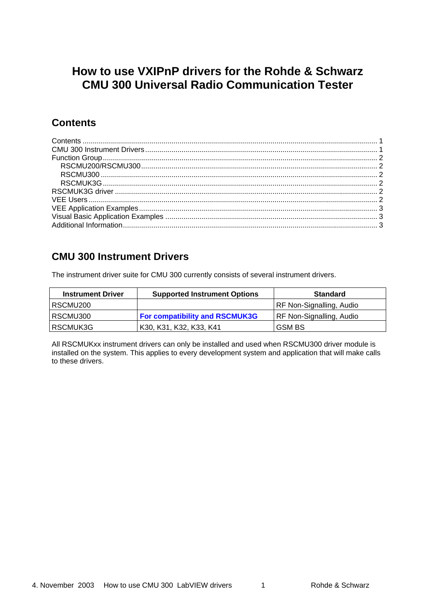# <span id="page-0-0"></span>**How to use VXIPnP drivers for the Rohde & Schwarz CMU 300 Universal Radio Communication Tester**

#### **Contents**

### **CMU 300 Instrument Drivers**

The instrument driver suite for CMU 300 currently consists of several instrument drivers.

| <b>Instrument Driver</b> | <b>Supported Instrument Options</b>   | <b>Standard</b>                 |
|--------------------------|---------------------------------------|---------------------------------|
| RSCMU200                 |                                       | <b>RF Non-Signalling, Audio</b> |
| RSCMU300                 | <b>For compatibility and RSCMUK3G</b> | <b>RF Non-Signalling, Audio</b> |
| RSCMUK3G                 | K30, K31, K32, K33, K41               | <b>GSM BS</b>                   |

All RSCMUKxx instrument drivers can only be installed and used when RSCMU300 driver module is installed on the system. This applies to every development system and application that will make calls to these drivers.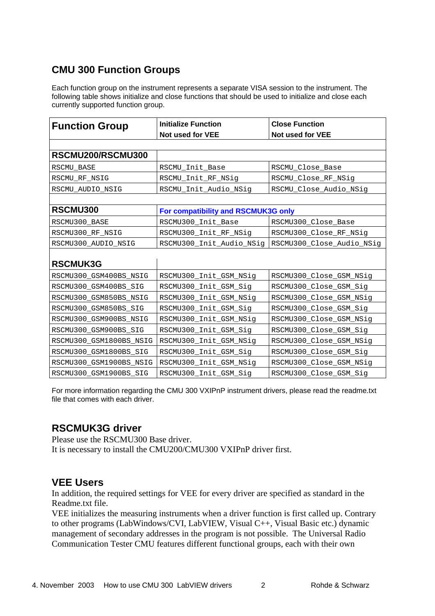## <span id="page-1-0"></span>**CMU 300 Function Groups**

Each function group on the instrument represents a separate VISA session to the instrument. The following table shows initialize and close functions that should be used to initialize and close each currently supported function group.

| <b>Function Group</b>   | <b>Initialize Function</b>          | <b>Close Function</b>     |
|-------------------------|-------------------------------------|---------------------------|
|                         | Not used for VEE                    | Not used for VEE          |
|                         |                                     |                           |
| RSCMU200/RSCMU300       |                                     |                           |
| RSCMU BASE              | RSCMU_Init_Base<br>RSCMU_Close_Base |                           |
| RSCMU_RF_NSIG           | RSCMU_Init_RF_NSig                  | RSCMU_Close_RF_NSig       |
| RSCMU_AUDIO_NSIG        | RSCMU_Init_Audio_NSig               | RSCMU_Close_Audio_NSig    |
|                         |                                     |                           |
| RSCMU300                | For compatibility and RSCMUK3G only |                           |
| RSCMU300_BASE           | RSCMU300_Init_Base                  | RSCMU300_Close_Base       |
| RSCMU300_RF_NSIG        | RSCMU300_Init_RF_NSig               | RSCMU300_Close_RF_NSig    |
| RSCMU300_AUDIO_NSIG     | RSCMU300_Init_Audio_NSig            | RSCMU300_Close_Audio_NSig |
|                         |                                     |                           |
| <b>RSCMUK3G</b>         |                                     |                           |
| RSCMU300_GSM400BS_NSIG  | RSCMU300_Init_GSM_NSig              | RSCMU300_Close_GSM_NSig   |
| RSCMU300_GSM400BS_SIG   | RSCMU300_Init_GSM_Sig               | RSCMU300_Close_GSM_Sig    |
| RSCMU300_GSM850BS_NSIG  | RSCMU300_Init_GSM_NSig              | RSCMU300_Close_GSM_NSig   |
| RSCMU300_GSM850BS_SIG   | RSCMU300_Init_GSM_Sig               | RSCMU300_Close_GSM_Sig    |
| RSCMU300_GSM900BS_NSIG  | RSCMU300_Init_GSM_NSig              | RSCMU300_Close_GSM_NSig   |
| RSCMU300_GSM900BS_SIG   | RSCMU300_Init_GSM_Sig               | RSCMU300_Close_GSM_Sig    |
| RSCMU300_GSM1800BS_NSIG | RSCMU300_Init_GSM_NSig              | RSCMU300_Close_GSM_NSig   |
| RSCMU300_GSM1800BS_SIG  | RSCMU300_Init_GSM_Sig               | RSCMU300_Close_GSM_Sig    |
| RSCMU300_GSM1900BS_NSIG | RSCMU300_Init_GSM_NSig              | RSCMU300_Close_GSM_NSig   |
| RSCMU300_GSM1900BS_SIG  | RSCMU300_Init_GSM_Sig               | RSCMU300_Close_GSM_Sig    |

For more information regarding the CMU 300 VXIPnP instrument drivers, please read the readme.txt file that comes with each driver.

#### **RSCMUK3G driver**

Please use the RSCMU300 Base driver. It is necessary to install the CMU200/CMU300 VXIPnP driver first.

#### **VEE Users**

In addition, the required settings for VEE for every driver are specified as standard in the Readme.txt file.

VEE initializes the measuring instruments when a driver function is first called up. Contrary to other programs (LabWindows/CVI, LabVIEW, Visual C++, Visual Basic etc.) dynamic management of secondary addresses in the program is not possible. The Universal Radio Communication Tester CMU features different functional groups, each with their own